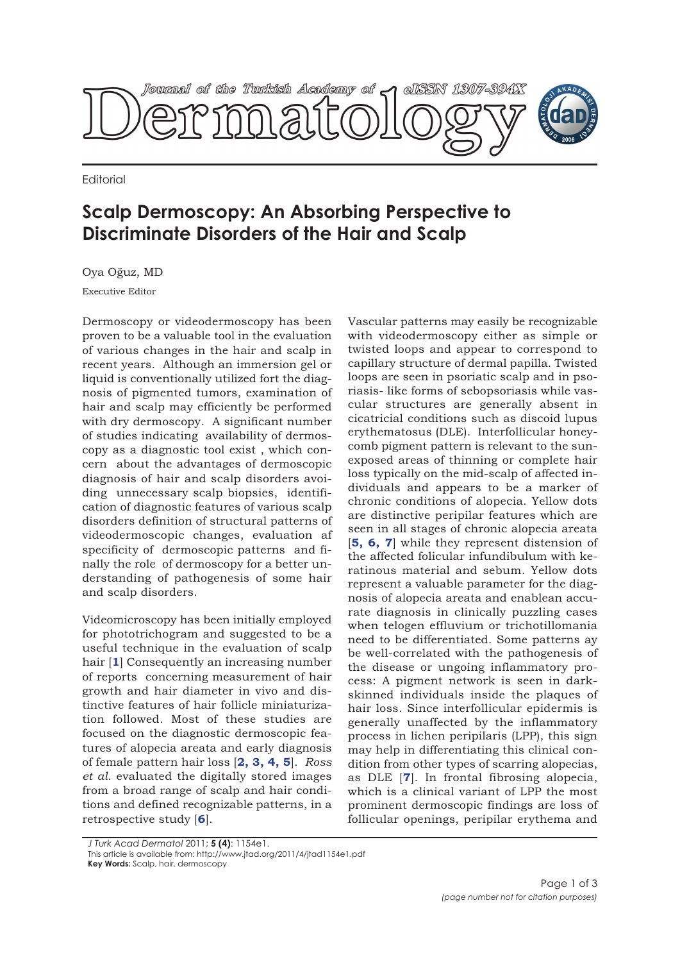

**Fditorial** 

## **Scalp Dermoscopy: An Absorbing Perspective to Discriminate Disorders of the Hair and Scalp**

Oya Oğuz, MD

Executive Editor

Dermoscopy or videodermoscopy has been proven to be a valuable tool in the evaluation of various changes in the hair and scalp in recent years. Although an immersion gel or liquid is conventionally utilized fort the diagnosis of pigmented tumors, examination of hair and scalp may efficiently be performed with dry dermoscopy. A significant number of studies indicating availability of dermoscopy as a diagnostic tool exist , which concern about the advantages of dermoscopic diagnosis of hair and scalp disorders avoiding unnecessary scalp biopsies, identification of diagnostic features of various scalp disorders definition of structural patterns of videodermoscopic changes, evaluation af specificity of dermoscopic patterns and finally the role of dermoscopy for a better understanding of pathogenesis of some hair and scalp disorders.

Videomicroscopy has been initially employed for phototrichogram and suggested to be a useful technique in the evaluation of scalp hair [**1**] Consequently an increasing number of reports concerning measurement of hair growth and hair diameter in vivo and distinctive features of hair follicle miniaturization followed. Most of these studies are focused on the diagnostic dermoscopic features of alopecia areata and early diagnosis of female pattern hair loss [**2, 3, 4, 5**]. *Ross et al*. evaluated the digitally stored images from a broad range of scalp and hair conditions and defined recognizable patterns, in a retrospective study [**6**].

Vascular patterns may easily be recognizable with videodermoscopy either as simple or twisted loops and appear to correspond to capillary structure of dermal papilla. Twisted loops are seen in psoriatic scalp and in psoriasis- like forms of sebopsoriasis while vascular structures are generally absent in cicatricial conditions such as discoid lupus erythematosus (DLE). Interfollicular honeycomb pigment pattern is relevant to the sunexposed areas of thinning or complete hair loss typically on the mid-scalp of affected individuals and appears to be a marker of chronic conditions of alopecia. Yellow dots are distinctive peripilar features which are seen in all stages of chronic alopecia areata [**5, 6, 7**] while they represent distension of the affected folicular infundibulum with keratinous material and sebum. Yellow dots represent a valuable parameter for the diagnosis of alopecia areata and enablean accurate diagnosis in clinically puzzling cases when telogen effluvium or trichotillomania need to be differentiated. Some patterns ay be well-correlated with the pathogenesis of the disease or ungoing inflammatory process: A pigment network is seen in darkskinned individuals inside the plaques of hair loss. Since interfollicular epidermis is generally unaffected by the inflammatory process in lichen peripilaris (LPP), this sign may help in differentiating this clinical condition from other types of scarring alopecias, as DLE [**7**]. In frontal fibrosing alopecia, which is a clinical variant of LPP the most prominent dermoscopic findings are loss of follicular openings, peripilar erythema and

*J Turk Acad Dermatol* 2011; **5 (4)**: 1154e1.

This article is available from: http://www.jtad.org/2011/4/jtad1154e1.pdf

**Key Words:** Scalp, hair, dermoscopy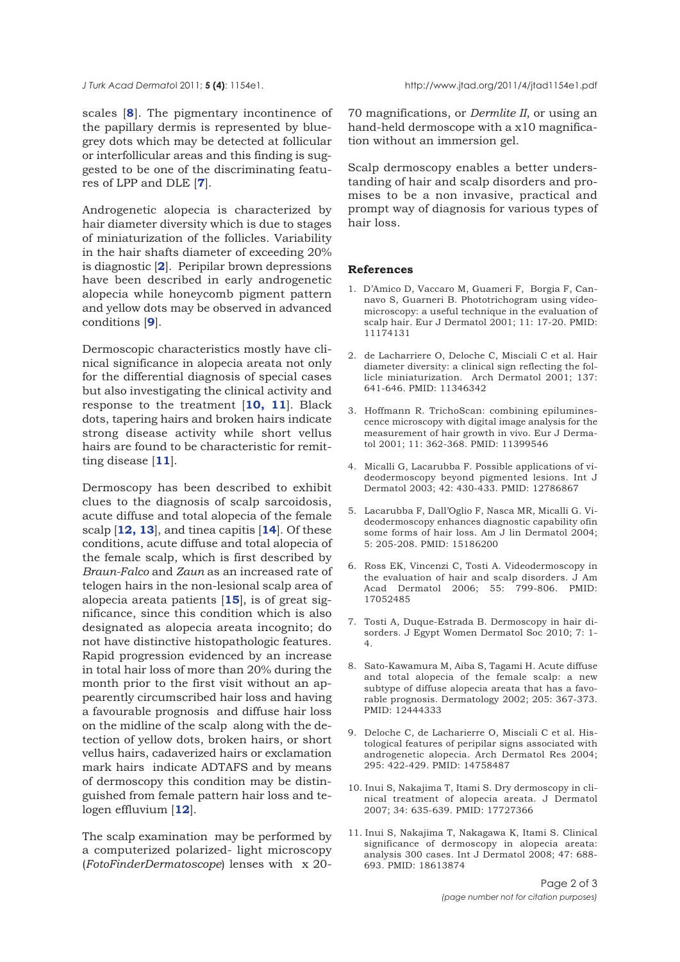scales [**8**]. The pigmentary incontinence of the papillary dermis is represented by bluegrey dots which may be detected at follicular or interfollicular areas and this finding is suggested to be one of the discriminating features of LPP and DLE [**7**].

Androgenetic alopecia is characterized by hair diameter diversity which is due to stages of miniaturization of the follicles. Variability in the hair shafts diameter of exceeding 20% is diagnostic [**2**]. Peripilar brown depressions have been described in early androgenetic alopecia while honeycomb pigment pattern and yellow dots may be observed in advanced conditions [**9**].

Dermoscopic characteristics mostly have clinical significance in alopecia areata not only for the differential diagnosis of special cases but also investigating the clinical activity and response to the treatment [**10, 11**]. Black dots, tapering hairs and broken hairs indicate strong disease activity while short vellus hairs are found to be characteristic for remitting disease [**11**].

Dermoscopy has been described to exhibit clues to the diagnosis of scalp sarcoidosis, acute diffuse and total alopecia of the female scalp [**12, 13**], and tinea capitis [**14**]. Of these conditions, acute diffuse and total alopecia of the female scalp, which is first described by *Braun-Falco* and *Zaun* as an increased rate of telogen hairs in the non-lesional scalp area of alopecia areata patients [**15**], is of great significance, since this condition which is also designated as alopecia areata incognito; do not have distinctive histopathologic features. Rapid progression evidenced by an increase in total hair loss of more than 20% during the month prior to the first visit without an appearently circumscribed hair loss and having a favourable prognosis and diffuse hair loss on the midline of the scalp along with the detection of yellow dots, broken hairs, or short vellus hairs, cadaverized hairs or exclamation mark hairs indicate ADTAFS and by means of dermoscopy this condition may be distinguished from female pattern hair loss and telogen effluvium [**12**].

The scalp examination may be performed by a computerized polarized- light microscopy (*FotoFinderDermatoscope*) lenses with x 2070 magnifications, or *Dermlite II*, or using an hand-held dermoscope with a x10 magnification without an immersion gel.

Scalp dermoscopy enables a better understanding of hair and scalp disorders and promises to be a non invasive, practical and prompt way of diagnosis for various types of hair loss.

## **References**

- 1. D'Amico D, Vaccaro M, Guameri F, Borgia F, Cannavo S, Guarneri B. Phototrichogram using videomicroscopy: a useful technique in the evaluation of scalp hair. Eur J Dermatol 2001; 11: 17-20. PMID: 11174131
- 2. de Lacharriere O, Deloche C, Misciali C et al. Hair diameter diversity: a clinical sign reflecting the follicle miniaturization. Arch Dermatol 2001; 137: 641-646. PMID: 11346342
- 3. Hoffmann R. TrichoScan: combining epiluminescence microscopy with digital image analysis for the measurement of hair growth in vivo. Eur J Dermatol 2001; 11: 362-368. PMID: 11399546
- 4. Micalli G, Lacarubba F. Possible applications of videodermoscopy beyond pigmented lesions. Int J Dermatol 2003; 42: 430-433. PMID: 12786867
- 5. Lacarubba F, Dall'Oglio F, Nasca MR, Micalli G. Videodermoscopy enhances diagnostic capability ofin some forms of hair loss. Am J lin Dermatol 2004; 5: 205-208. PMID: 15186200
- 6. Ross EK, Vincenzi C, Tosti A. Videodermoscopy in the evaluation of hair and scalp disorders. J Am Acad Dermatol 2006; 55: 799-806. PMID: 17052485
- 7. Tosti A, Duque-Estrada B. Dermoscopy in hair disorders. J Egypt Women Dermatol Soc 2010; 7: 1- 4.
- 8. Sato-Kawamura M, Aiba S, Tagami H. Acute diffuse and total alopecia of the female scalp: a new subtype of diffuse alopecia areata that has a favorable prognosis. Dermatology 2002; 205: 367-373. PMID: 12444333
- 9. Deloche C, de Lacharierre O, Misciali C et al. Histological features of peripilar signs associated with androgenetic alopecia. Arch Dermatol Res 2004; 295: 422-429. PMID: 14758487
- 10. Inui S, Nakajima T, Itami S. Dry dermoscopy in clinical treatment of alopecia areata. J Dermatol 2007; 34: 635-639. PMID: 17727366
- 11. Inui S, Nakajima T, Nakagawa K, Itami S. Clinical significance of dermoscopy in alopecia areata: analysis 300 cases. Int J Dermatol 2008; 47: 688- 693. PMID: 18613874